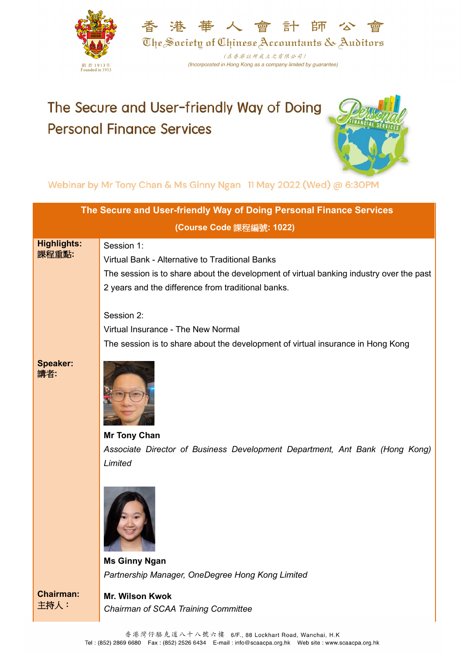



(在香港註冊成立之有限公司) (Incorporated in Hong Kong as a company limited by guarantee)

## The Secure and User-friendly Way of Doing **Personal Finance Services**



Webinar by Mr Tony Chan & Ms Ginny Ngan 11 May 2022 (Wed) @ 6:30PM

| The Secure and User-friendly Way of Doing Personal Finance Services |                                                                                                                                                                                                                |  |
|---------------------------------------------------------------------|----------------------------------------------------------------------------------------------------------------------------------------------------------------------------------------------------------------|--|
|                                                                     | (Course Code 課程編號: 1022)                                                                                                                                                                                       |  |
| <b>Highlights:</b><br>課程重點:                                         | Session 1:<br>Virtual Bank - Alternative to Traditional Banks<br>The session is to share about the development of virtual banking industry over the past<br>2 years and the difference from traditional banks. |  |
|                                                                     | Session 2:<br>Virtual Insurance - The New Normal<br>The session is to share about the development of virtual insurance in Hong Kong                                                                            |  |
| <b>Speaker:</b><br>講者:                                              | <b>Mr Tony Chan</b>                                                                                                                                                                                            |  |
|                                                                     | Associate Director of Business Development Department, Ant Bank (Hong Kong)<br>Limited                                                                                                                         |  |
|                                                                     | <b>Ms Ginny Ngan</b>                                                                                                                                                                                           |  |
|                                                                     | Partnership Manager, OneDegree Hong Kong Limited                                                                                                                                                               |  |
| <b>Chairman:</b><br>主持人:                                            | Mr. Wilson Kwok<br>Chairman of SCAA Training Committee                                                                                                                                                         |  |